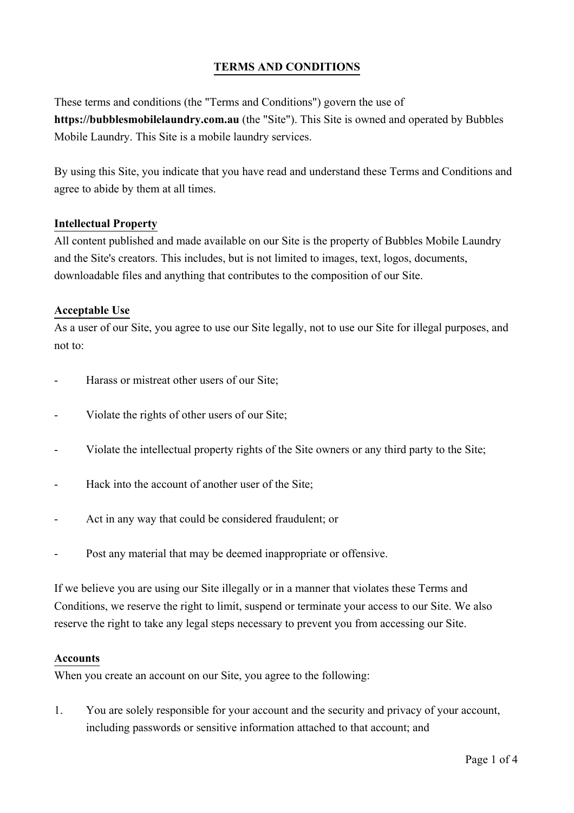# **TERMS AND CONDITIONS**

These terms and conditions (the "Terms and Conditions") govern the use of **https://bubblesmobilelaundry.com.au** (the "Site"). This Site is owned and operated by Bubbles Mobile Laundry. This Site is a mobile laundry services.

By using this Site, you indicate that you have read and understand these Terms and Conditions and agree to abide by them at all times.

## **Intellectual Property**

All content published and made available on our Site is the property of Bubbles Mobile Laundry and the Site's creators. This includes, but is not limited to images, text, logos, documents, downloadable files and anything that contributes to the composition of our Site.

## **Acceptable Use**

As a user of our Site, you agree to use our Site legally, not to use our Site for illegal purposes, and not to:

- Harass or mistreat other users of our Site:
- Violate the rights of other users of our Site;
- Violate the intellectual property rights of the Site owners or any third party to the Site;
- Hack into the account of another user of the Site;
- Act in any way that could be considered fraudulent; or
- Post any material that may be deemed inappropriate or offensive.

If we believe you are using our Site illegally or in a manner that violates these Terms and Conditions, we reserve the right to limit, suspend or terminate your access to our Site. We also reserve the right to take any legal steps necessary to prevent you from accessing our Site.

#### **Accounts**

When you create an account on our Site, you agree to the following:

1. You are solely responsible for your account and the security and privacy of your account, including passwords or sensitive information attached to that account; and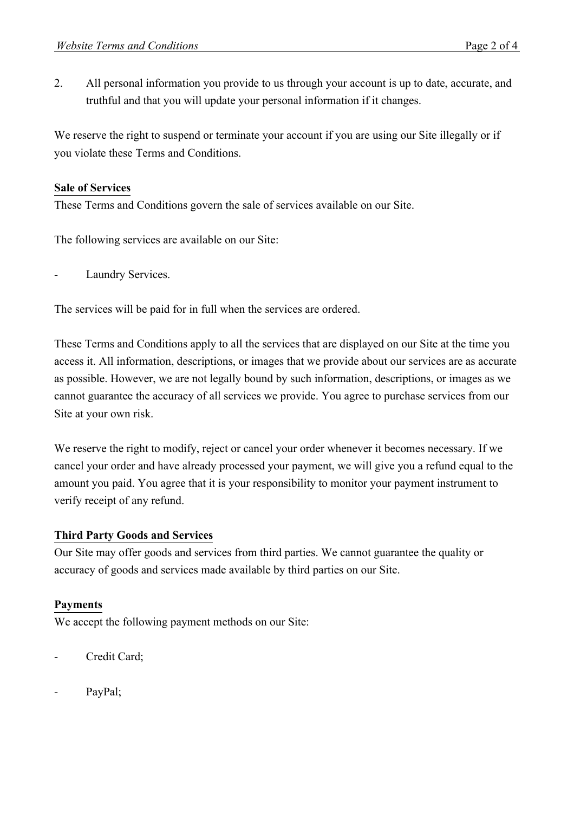2. All personal information you provide to us through your account is up to date, accurate, and truthful and that you will update your personal information if it changes.

We reserve the right to suspend or terminate your account if you are using our Site illegally or if you violate these Terms and Conditions.

## **Sale of Services**

These Terms and Conditions govern the sale of services available on our Site.

The following services are available on our Site:

Laundry Services.

The services will be paid for in full when the services are ordered.

These Terms and Conditions apply to all the services that are displayed on our Site at the time you access it. All information, descriptions, or images that we provide about our services are as accurate as possible. However, we are not legally bound by such information, descriptions, or images as we cannot guarantee the accuracy of all services we provide. You agree to purchase services from our Site at your own risk.

We reserve the right to modify, reject or cancel your order whenever it becomes necessary. If we cancel your order and have already processed your payment, we will give you a refund equal to the amount you paid. You agree that it is your responsibility to monitor your payment instrument to verify receipt of any refund.

# **Third Party Goods and Services**

Our Site may offer goods and services from third parties. We cannot guarantee the quality or accuracy of goods and services made available by third parties on our Site.

# **Payments**

We accept the following payment methods on our Site:

- Credit Card;
- PayPal;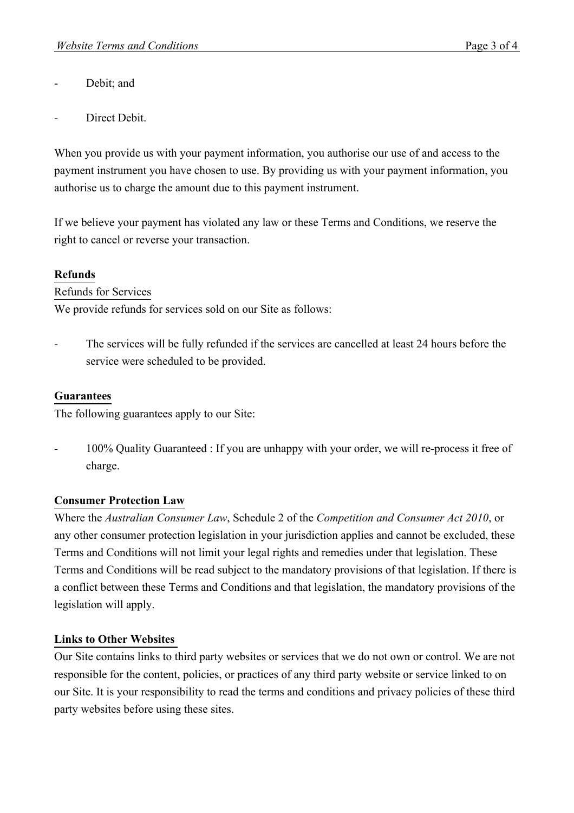- Debit; and
- Direct Debit.

When you provide us with your payment information, you authorise our use of and access to the payment instrument you have chosen to use. By providing us with your payment information, you authorise us to charge the amount due to this payment instrument.

If we believe your payment has violated any law or these Terms and Conditions, we reserve the right to cancel or reverse your transaction.

# **Refunds**

# Refunds for Services

We provide refunds for services sold on our Site as follows:

The services will be fully refunded if the services are cancelled at least 24 hours before the service were scheduled to be provided.

# **Guarantees**

The following guarantees apply to our Site:

100% Quality Guaranteed : If you are unhappy with your order, we will re-process it free of charge.

# **Consumer Protection Law**

Where the *Australian Consumer Law*, Schedule 2 of the *Competition and Consumer Act 2010*, or any other consumer protection legislation in your jurisdiction applies and cannot be excluded, these Terms and Conditions will not limit your legal rights and remedies under that legislation. These Terms and Conditions will be read subject to the mandatory provisions of that legislation. If there is a conflict between these Terms and Conditions and that legislation, the mandatory provisions of the legislation will apply.

# **Links to Other Websites**

Our Site contains links to third party websites or services that we do not own or control. We are not responsible for the content, policies, or practices of any third party website or service linked to on our Site. It is your responsibility to read the terms and conditions and privacy policies of these third party websites before using these sites.